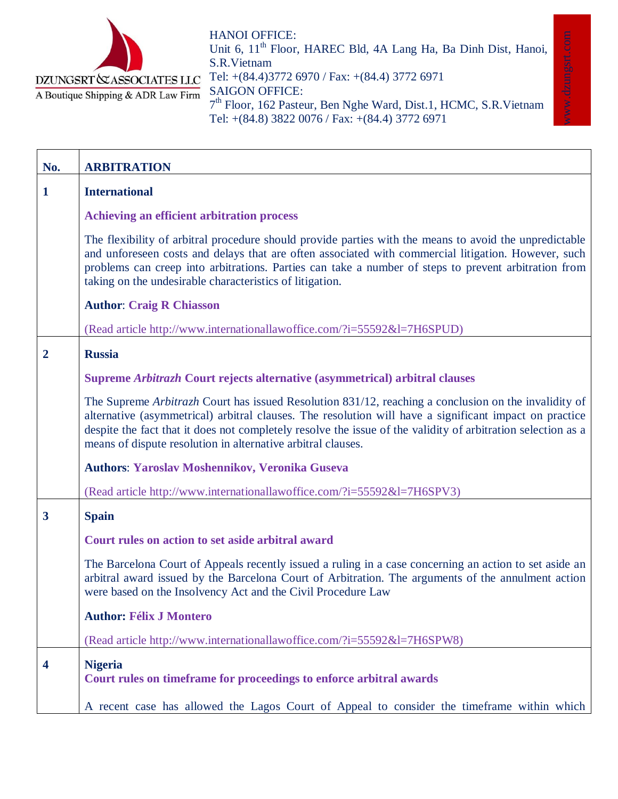

HANOI OFFICE: Unit 6, 11<sup>th</sup> Floor, HAREC Bld, 4A Lang Ha, Ba Dinh Dist, Hanoi, S.R.Vietnam Tel: +(84.4)3772 6970 / Fax: +(84.4) 3772 6971 SAIGON OFFICE: 7<sup>th</sup> Floor, 162 Pasteur, Ben Nghe Ward, Dist.1, HCMC, S.R. Vietnam Tel: +(84.8) 3822 0076 / Fax: +(84.4) 3772 6971

www.dzungsrt.com

ww.dzungsrt.com

| No.                     | <b>ARBITRATION</b>                                                                                                                                                                                                                                                                                                                                                                             |
|-------------------------|------------------------------------------------------------------------------------------------------------------------------------------------------------------------------------------------------------------------------------------------------------------------------------------------------------------------------------------------------------------------------------------------|
| $\mathbf{1}$            | <b>International</b>                                                                                                                                                                                                                                                                                                                                                                           |
|                         | Achieving an efficient arbitration process                                                                                                                                                                                                                                                                                                                                                     |
|                         | The flexibility of arbitral procedure should provide parties with the means to avoid the unpredictable<br>and unforeseen costs and delays that are often associated with commercial litigation. However, such<br>problems can creep into arbitrations. Parties can take a number of steps to prevent arbitration from<br>taking on the undesirable characteristics of litigation.              |
|                         | <b>Author: Craig R Chiasson</b>                                                                                                                                                                                                                                                                                                                                                                |
|                         | (Read article http://www.internationallawoffice.com/?i=55592&l=7H6SPUD)                                                                                                                                                                                                                                                                                                                        |
| $\overline{2}$          | <b>Russia</b>                                                                                                                                                                                                                                                                                                                                                                                  |
|                         | Supreme Arbitrazh Court rejects alternative (asymmetrical) arbitral clauses                                                                                                                                                                                                                                                                                                                    |
|                         | The Supreme Arbitrazh Court has issued Resolution 831/12, reaching a conclusion on the invalidity of<br>alternative (asymmetrical) arbitral clauses. The resolution will have a significant impact on practice<br>despite the fact that it does not completely resolve the issue of the validity of arbitration selection as a<br>means of dispute resolution in alternative arbitral clauses. |
|                         | <b>Authors: Yaroslav Moshennikov, Veronika Guseva</b>                                                                                                                                                                                                                                                                                                                                          |
|                         | (Read article http://www.internationallawoffice.com/?i=55592&l=7H6SPV3)                                                                                                                                                                                                                                                                                                                        |
| $\overline{\mathbf{3}}$ | <b>Spain</b>                                                                                                                                                                                                                                                                                                                                                                                   |
|                         | Court rules on action to set aside arbitral award                                                                                                                                                                                                                                                                                                                                              |
|                         | The Barcelona Court of Appeals recently issued a ruling in a case concerning an action to set aside an<br>arbitral award issued by the Barcelona Court of Arbitration. The arguments of the annulment action<br>were based on the Insolvency Act and the Civil Procedure Law                                                                                                                   |
|                         | <b>Author: Félix J Montero</b>                                                                                                                                                                                                                                                                                                                                                                 |
|                         | (Read article http://www.internationallawoffice.com/?i=55592&l=7H6SPW8)                                                                                                                                                                                                                                                                                                                        |
| $\overline{\mathbf{4}}$ | <b>Nigeria</b><br>Court rules on timeframe for proceedings to enforce arbitral awards                                                                                                                                                                                                                                                                                                          |
|                         | A recent case has allowed the Lagos Court of Appeal to consider the timeframe within which                                                                                                                                                                                                                                                                                                     |